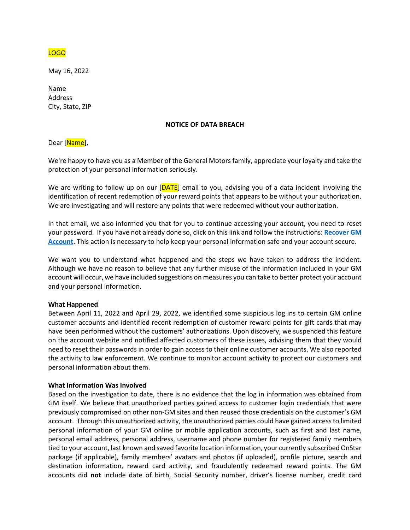

May 16, 2022

Name Address City, State, ZIP

#### **NOTICE OF DATA BREACH**

Dear [Name],

We're happy to have you as a Member of the General Motors family, appreciate your loyalty and take the protection of your personal information seriously.

We are writing to follow up on our [DATE] email to you, advising you of a data incident involving the identification of recent redemption of your reward points that appears to be without your authorization. We are investigating and will restore any points that were redeemed without your authorization.

In that email, we also informed you that for you to continue accessing your account, you need to reset your password. If you have not already done so, click on this link and follow the instructions: **[Recover GM](https://experience.gm.com/myaccount/authorize/forgot-password/email-input)  [Account](https://experience.gm.com/myaccount/authorize/forgot-password/email-input)**. This action is necessary to help keep your personal information safe and your account secure.

We want you to understand what happened and the steps we have taken to address the incident. Although we have no reason to believe that any further misuse of the information included in your GM account will occur, we have included suggestions on measures you can take to better protect your account and your personal information.

#### **What Happened**

Between April 11, 2022 and April 29, 2022, we identified some suspicious log ins to certain GM online customer accounts and identified recent redemption of customer reward points for gift cards that may have been performed without the customers' authorizations. Upon discovery, we suspended this feature on the account website and notified affected customers of these issues, advising them that they would need to reset their passwords in order to gain access to their online customer accounts. We also reported the activity to law enforcement. We continue to monitor account activity to protect our customers and personal information about them.

#### **What Information Was Involved**

Based on the investigation to date, there is no evidence that the log in information was obtained from GM itself. We believe that unauthorized parties gained access to customer login credentials that were previously compromised on other non-GM sites and then reused those credentials on the customer's GM account. Through this unauthorized activity, the unauthorized parties could have gained access to limited personal information of your GM online or mobile application accounts, such as first and last name, personal email address, personal address, username and phone number for registered family members tied to your account, last known and saved favorite location information, your currently subscribed OnStar package (if applicable), family members' avatars and photos (if uploaded), profile picture, search and destination information, reward card activity, and fraudulently redeemed reward points. The GM accounts did **not** include date of birth, Social Security number, driver's license number, credit card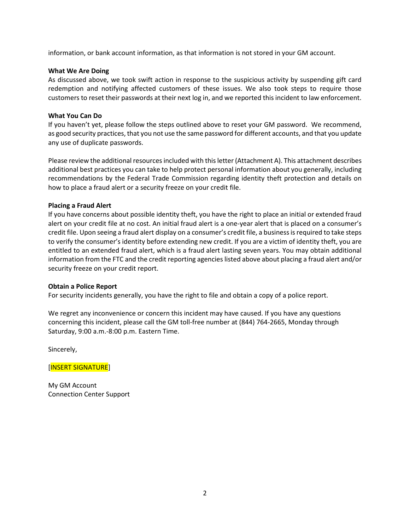information, or bank account information, as that information is not stored in your GM account.

### **What We Are Doing**

As discussed above, we took swift action in response to the suspicious activity by suspending gift card redemption and notifying affected customers of these issues. We also took steps to require those customers to reset their passwords at their next log in, and we reported this incident to law enforcement.

## **What You Can Do**

If you haven't yet, please follow the steps outlined above to reset your GM password. We recommend, as good security practices, that you not use the same password for different accounts, and that you update any use of duplicate passwords.

Please review the additional resources included with this letter(Attachment A). This attachment describes additional best practices you can take to help protect personal information about you generally, including recommendations by the Federal Trade Commission regarding identity theft protection and details on how to place a fraud alert or a security freeze on your credit file.

### **Placing a Fraud Alert**

If you have concerns about possible identity theft, you have the right to place an initial or extended fraud alert on your credit file at no cost. An initial fraud alert is a one-year alert that is placed on a consumer's credit file. Upon seeing a fraud alert display on a consumer's credit file, a business is required to take steps to verify the consumer's identity before extending new credit. If you are a victim of identity theft, you are entitled to an extended fraud alert, which is a fraud alert lasting seven years. You may obtain additional information from the FTC and the credit reporting agencies listed above about placing a fraud alert and/or security freeze on your credit report.

#### **Obtain a Police Report**

For security incidents generally, you have the right to file and obtain a copy of a police report.

We regret any inconvenience or concern this incident may have caused. If you have any questions concerning this incident, please call the GM toll-free number at (844) 764-2665, Monday through Saturday, 9:00 a.m.-8:00 p.m. Eastern Time.

Sincerely,

[INSERT SIGNATURE]

My GM Account Connection Center Support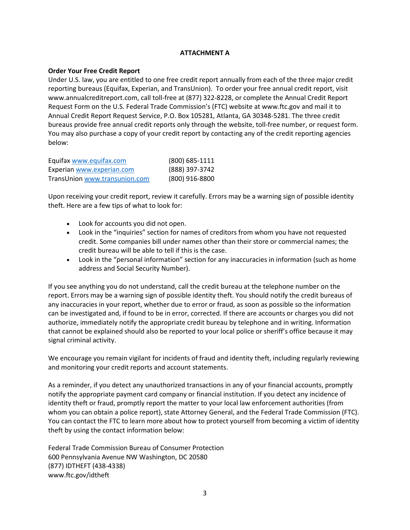# **ATTACHMENT A**

## **Order Your Free Credit Report**

Under U.S. law, you are entitled to one free credit report annually from each of the three major credit reporting bureaus (Equifax, Experian, and TransUnion). To order your free annual credit report, visit www.annualcreditreport.com, call toll-free at (877) 322-8228, or complete the Annual Credit Report Request Form on the U.S. Federal Trade Commission's (FTC) website at www.ftc.gov and mail it to Annual Credit Report Request Service, P.O. Box 105281, Atlanta, GA 30348-5281. The three credit bureaus provide free annual credit reports only through the website, toll-free number, or request form. You may also purchase a copy of your credit report by contacting any of the credit reporting agencies below:

| Equifax www.equifax.com       | (800) 685-1111 |
|-------------------------------|----------------|
| Experian www.experian.com     | (888) 397-3742 |
| TransUnion www.transunion.com | (800) 916-8800 |

Upon receiving your credit report, review it carefully. Errors may be a warning sign of possible identity theft. Here are a few tips of what to look for:

- Look for accounts you did not open.
- Look in the "inquiries" section for names of creditors from whom you have not requested credit. Some companies bill under names other than their store or commercial names; the credit bureau will be able to tell if this is the case.
- Look in the "personal information" section for any inaccuracies in information (such as home address and Social Security Number).

If you see anything you do not understand, call the credit bureau at the telephone number on the report. Errors may be a warning sign of possible identity theft. You should notify the credit bureaus of any inaccuracies in your report, whether due to error or fraud, as soon as possible so the information can be investigated and, if found to be in error, corrected. If there are accounts or charges you did not authorize, immediately notify the appropriate credit bureau by telephone and in writing. Information that cannot be explained should also be reported to your local police or sheriff's office because it may signal criminal activity.

We encourage you remain vigilant for incidents of fraud and identity theft, including regularly reviewing and monitoring your credit reports and account statements.

As a reminder, if you detect any unauthorized transactions in any of your financial accounts, promptly notify the appropriate payment card company or financial institution. If you detect any incidence of identity theft or fraud, promptly report the matter to your local law enforcement authorities (from whom you can obtain a police report), state Attorney General, and the Federal Trade Commission (FTC). You can contact the FTC to learn more about how to protect yourself from becoming a victim of identity theft by using the contact information below:

Federal Trade Commission Bureau of Consumer Protection 600 Pennsylvania Avenue NW Washington, DC 20580 (877) IDTHEFT (438-4338) www.ftc.gov/idtheft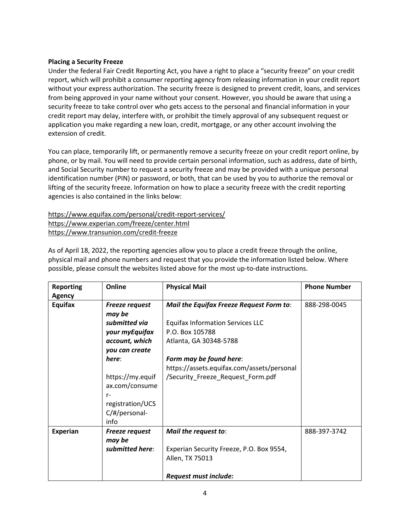## **Placing a Security Freeze**

Under the federal Fair Credit Reporting Act, you have a right to place a "security freeze" on your credit report, which will prohibit a consumer reporting agency from releasing information in your credit report without your express authorization. The security freeze is designed to prevent credit, loans, and services from being approved in your name without your consent. However, you should be aware that using a security freeze to take control over who gets access to the personal and financial information in your credit report may delay, interfere with, or prohibit the timely approval of any subsequent request or application you make regarding a new loan, credit, mortgage, or any other account involving the extension of credit.

You can place, temporarily lift, or permanently remove a security freeze on your credit report online, by phone, or by mail. You will need to provide certain personal information, such as address, date of birth, and Social Security number to request a security freeze and may be provided with a unique personal identification number (PIN) or password, or both, that can be used by you to authorize the removal or lifting of the security freeze. Information on how to place a security freeze with the credit reporting agencies is also contained in the links below:

# https://www.equifax.com/personal/credit-report-services/ https://www.experian.com/freeze/center.html https://www.transunion.com/credit-freeze

As of April 18, 2022, the reporting agencies allow you to place a credit freeze through the online, physical mail and phone numbers and request that you provide the information listed below. Where possible, please consult the websites listed above for the most up-to-date instructions.

| <b>Reporting</b> | Online                  | <b>Physical Mail</b>                       | <b>Phone Number</b> |
|------------------|-------------------------|--------------------------------------------|---------------------|
| <b>Agency</b>    |                         |                                            |                     |
| Equifax          | Freeze request          | Mail the Equifax Freeze Request Form to:   | 888-298-0045        |
|                  | may be                  |                                            |                     |
|                  | submitted via           | <b>Equifax Information Services LLC</b>    |                     |
|                  | your myEquifax          | P.O. Box 105788                            |                     |
|                  | account, which          | Atlanta, GA 30348-5788                     |                     |
|                  | you can create          |                                            |                     |
|                  | here:                   | Form may be found here:                    |                     |
|                  |                         | https://assets.equifax.com/assets/personal |                     |
|                  | https://my.equif        | /Security_Freeze_Request_Form.pdf          |                     |
|                  | ax.com/consume          |                                            |                     |
|                  | $r-$                    |                                            |                     |
|                  | registration/UCS        |                                            |                     |
|                  | $C/\text{\#/personal-}$ |                                            |                     |
|                  | info                    |                                            |                     |
| <b>Experian</b>  | <b>Freeze request</b>   | Mail the request to:                       | 888-397-3742        |
|                  | may be                  |                                            |                     |
|                  | submitted here:         | Experian Security Freeze, P.O. Box 9554,   |                     |
|                  |                         | Allen, TX 75013                            |                     |
|                  |                         |                                            |                     |
|                  |                         | <b>Request must include:</b>               |                     |